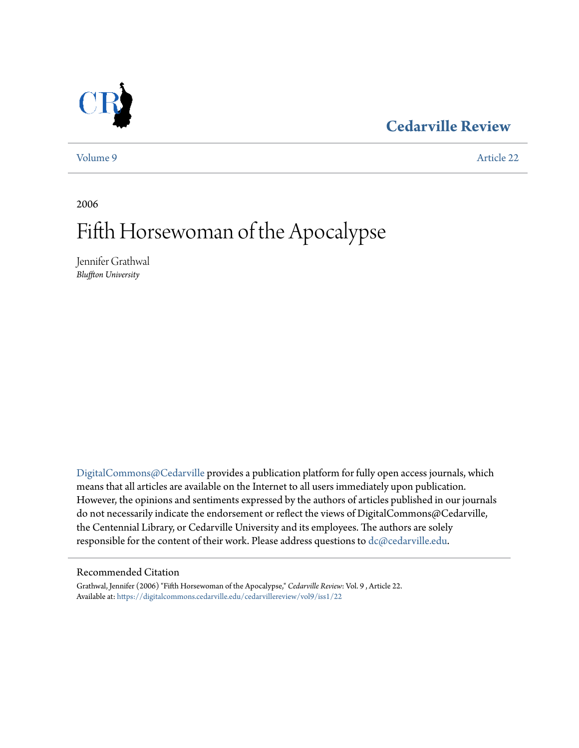## **[Cedarville Review](https://digitalcommons.cedarville.edu/cedarvillereview?utm_source=digitalcommons.cedarville.edu%2Fcedarvillereview%2Fvol9%2Fiss1%2F22&utm_medium=PDF&utm_campaign=PDFCoverPages)**



[Volume 9](https://digitalcommons.cedarville.edu/cedarvillereview/vol9?utm_source=digitalcommons.cedarville.edu%2Fcedarvillereview%2Fvol9%2Fiss1%2F22&utm_medium=PDF&utm_campaign=PDFCoverPages) [Article 22](https://digitalcommons.cedarville.edu/cedarvillereview/vol9/iss1/22?utm_source=digitalcommons.cedarville.edu%2Fcedarvillereview%2Fvol9%2Fiss1%2F22&utm_medium=PDF&utm_campaign=PDFCoverPages)

2006

# Fifth Horsewoman of the Apocalypse

Jennifer Grathwal *Bluffton University*

[DigitalCommons@Cedarville](http://digitalcommons.cedarville.edu) provides a publication platform for fully open access journals, which means that all articles are available on the Internet to all users immediately upon publication. However, the opinions and sentiments expressed by the authors of articles published in our journals do not necessarily indicate the endorsement or reflect the views of DigitalCommons@Cedarville, the Centennial Library, or Cedarville University and its employees. The authors are solely responsible for the content of their work. Please address questions to [dc@cedarville.edu](mailto:dc@cedarville.edu).

#### Recommended Citation

Grathwal, Jennifer (2006) "Fifth Horsewoman of the Apocalypse," *Cedarville Review*: Vol. 9 , Article 22. Available at: [https://digitalcommons.cedarville.edu/cedarvillereview/vol9/iss1/22](https://digitalcommons.cedarville.edu/cedarvillereview/vol9/iss1/22?utm_source=digitalcommons.cedarville.edu%2Fcedarvillereview%2Fvol9%2Fiss1%2F22&utm_medium=PDF&utm_campaign=PDFCoverPages)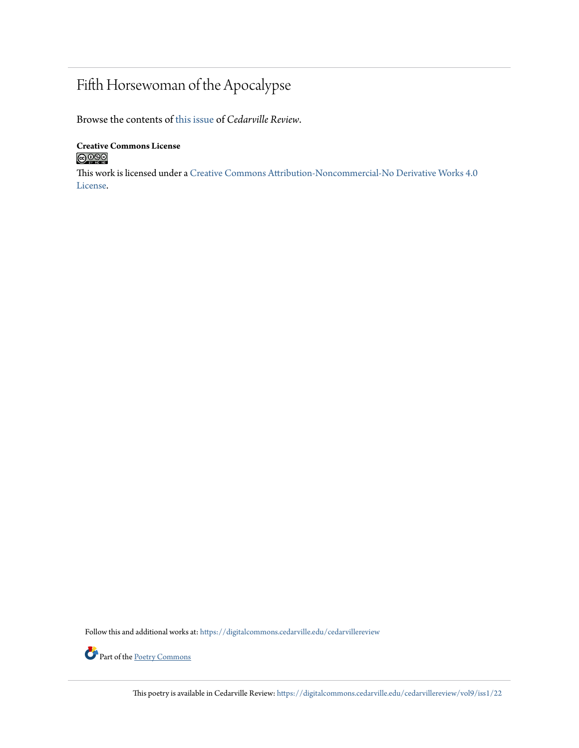## Fifth Horsewoman of the Apocalypse

Browse the contents of [this issue](https://digitalcommons.cedarville.edu/cedarvillereview/vol9/iss1) of *Cedarville Review*.

**Creative Commons License**  $\bigcirc$  000

This work is licensed under a [Creative Commons Attribution-Noncommercial-No Derivative Works 4.0](http://creativecommons.org/licenses/by-nc-nd/4.0/) [License.](http://creativecommons.org/licenses/by-nc-nd/4.0/)

Follow this and additional works at: [https://digitalcommons.cedarville.edu/cedarvillereview](https://digitalcommons.cedarville.edu/cedarvillereview?utm_source=digitalcommons.cedarville.edu%2Fcedarvillereview%2Fvol9%2Fiss1%2F22&utm_medium=PDF&utm_campaign=PDFCoverPages)



This poetry is available in Cedarville Review: [https://digitalcommons.cedarville.edu/cedarvillereview/vol9/iss1/22](https://digitalcommons.cedarville.edu/cedarvillereview/vol9/iss1/22?utm_source=digitalcommons.cedarville.edu%2Fcedarvillereview%2Fvol9%2Fiss1%2F22&utm_medium=PDF&utm_campaign=PDFCoverPages)